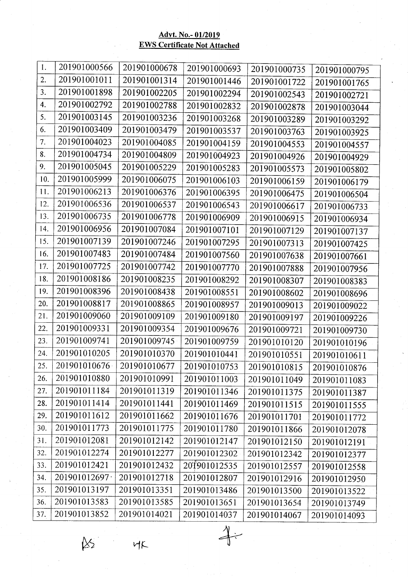## Advt. No.- 01/2019<br>EWS Certificate Not Attached

| 1.  | 201901000566  | 201901000678 |              |              |              |
|-----|---------------|--------------|--------------|--------------|--------------|
| 2.  | 201901001011  | 201901001314 | 201901000693 | 201901000735 | 201901000795 |
|     |               |              | 201901001446 | 201901001722 | 201901001765 |
| 3.  | 201901001898  | 201901002205 | 201901002294 | 201901002543 | 201901002721 |
| 4.  | 201901002792  | 201901002788 | 201901002832 | 201901002878 | 201901003044 |
| 5.  | 201901003145  | 201901003236 | 201901003268 | 201901003289 | 201901003292 |
| 6.  | 201901003409  | 201901003479 | 201901003537 | 201901003763 | 201901003925 |
| 7.  | 201901004023  | 201901004085 | 201901004159 | 201901004553 | 201901004557 |
| 8.  | 201901004734  | 201901004809 | 201901004923 | 201901004926 | 201901004929 |
| 9.  | 201901005045  | 201901005229 | 201901005283 | 201901005573 | 201901005802 |
| 10. | 201901005999  | 201901006075 | 201901006103 | 201901006159 | 201901006179 |
| 11. | 201901006213  | 201901006376 | 201901006395 | 201901006475 | 201901006504 |
| 12. | 201901006536  | 201901006537 | 201901006543 | 201901006617 | 201901006733 |
| 13. | 201901006735  | 201901006778 | 201901006909 | 201901006915 | 201901006934 |
| 14. | 201901006956  | 201901007084 | 201901007101 | 201901007129 | 201901007137 |
| 15. | 201901007139  | 201901007246 | 201901007295 | 201901007313 | 201901007425 |
| 16. | 201901007483  | 201901007484 | 201901007560 | 201901007638 | 201901007661 |
| 17. | 201901007725  | 201901007742 | 201901007770 | 201901007888 | 201901007956 |
| 18. | 201901008186  | 201901008235 | 201901008292 | 201901008307 | 201901008383 |
| 19. | 201901008396  | 201901008438 | 201901008551 | 201901008602 | 201901008696 |
| 20. | 201901008817  | 201901008865 | 201901008957 | 201901009013 | 201901009022 |
| 21. | 201901009060  | 201901009109 | 201901009180 | 201901009197 | 201901009226 |
| 22. | 201901009331  | 201901009354 | 201901009676 | 201901009721 | 201901009730 |
| 23. | 201901009741  | 201901009745 | 201901009759 | 201901010120 | 201901010196 |
| 24. | 201901010205  | 201901010370 | 201901010441 | 201901010551 | 201901010611 |
| 25. | 201901010676  | 201901010677 | 201901010753 | 201901010815 | 201901010876 |
| 26. | 201901010880  | 201901010991 | 201901011003 | 201901011049 | 201901011083 |
| 27. | 201901011184  | 201901011319 | 201901011346 | 201901011375 | 201901011387 |
| 28. | 201901011414  | 201901011441 | 201901011469 | 201901011515 | 201901011555 |
| 29. | 201901011612  | 201901011662 | 201901011676 | 201901011701 | 201901011772 |
| 30. | 201901011773  | 201901011775 | 201901011780 | 201901011866 | 201901012078 |
| 31. | 201901012081  | 201901012142 | 201901012147 | 201901012150 | 201901012191 |
| 32. | 201901012274  | 201901012277 | 201901012302 | 201901012342 | 201901012377 |
| 33. | 201901012421  | 201901012432 | 201901012535 | 201901012557 | 201901012558 |
| 34. | 201901012697· | 201901012718 | 201901012807 | 201901012916 | 201901012950 |
| 35. | 201901013197  | 201901013351 | 201901013486 | 201901013500 | 201901013522 |
| 36. | 201901013583  | 201901013585 | 201901013651 | 201901013654 | 201901013749 |
| 37. | 201901013852  | 201901014021 | 201901014037 | 201901014067 | 201901014093 |

 $\mathbb{R}^3$ 

 $MK$ 

 $\begin{picture}(120,110) \put(0,0){\vector(1,0){10}} \put(15,0){\vector(1,0){10}} \put(15,0){\vector(1,0){10}} \put(15,0){\vector(1,0){10}} \put(15,0){\vector(1,0){10}} \put(15,0){\vector(1,0){10}} \put(15,0){\vector(1,0){10}} \put(15,0){\vector(1,0){10}} \put(15,0){\vector(1,0){10}} \put(15,0){\vector(1,0){10}} \put(15,0){\vector(1,0){10}} \put(15,0){\vector$